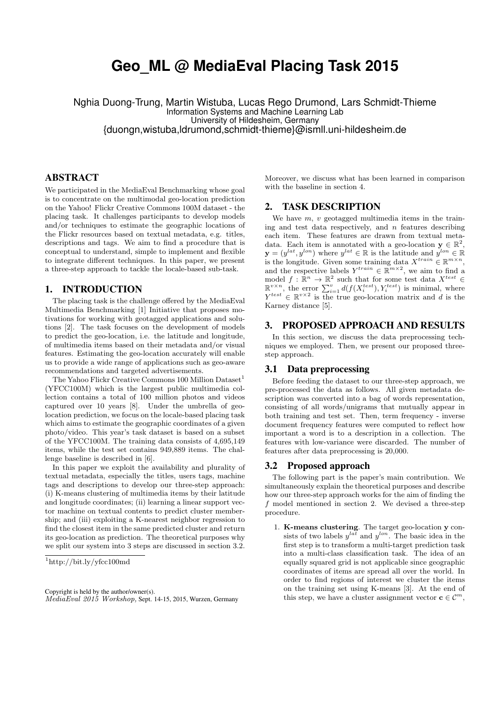# **Geo\_ML @ MediaEval Placing Task 2015**

Nghia Duong-Trung, Martin Wistuba, Lucas Rego Drumond, Lars Schmidt-Thieme Information Systems and Machine Learning Lab University of Hildesheim, Germany {duongn,wistuba,ldrumond,schmidt-thieme}@ismll.uni-hildesheim.de

## ABSTRACT

We participated in the MediaEval Benchmarking whose goal is to concentrate on the multimodal geo-location prediction on the Yahoo! Flickr Creative Commons 100M dataset - the placing task. It challenges participants to develop models and/or techniques to estimate the geographic locations of the Flickr resources based on textual metadata, e.g. titles, descriptions and tags. We aim to find a procedure that is conceptual to understand, simple to implement and flexible to integrate different techniques. In this paper, we present a three-step approach to tackle the locale-based sub-task.

## 1. INTRODUCTION

The placing task is the challenge offered by the MediaEval Multimedia Benchmarking [1] Initiative that proposes motivations for working with geotagged applications and solutions [2]. The task focuses on the development of models to predict the geo-location, i.e. the latitude and longitude, of multimedia items based on their metadata and/or visual features. Estimating the geo-location accurately will enable us to provide a wide range of applications such as geo-aware recommendations and targeted advertisements.

The Yahoo Flickr Creative Commons 100 Million Dataset<sup>1</sup> (YFCC100M) which is the largest public multimedia collection contains a total of 100 million photos and videos captured over 10 years [8]. Under the umbrella of geolocation prediction, we focus on the locale-based placing task which aims to estimate the geographic coordinates of a given photo/video. This year's task dataset is based on a subset of the YFCC100M. The training data consists of 4,695,149 items, while the test set contains 949,889 items. The challenge baseline is described in [6].

In this paper we exploit the availability and plurality of textual metadata, especially the titles, users tags, machine tags and descriptions to develop our three-step approach: (i) K-means clustering of multimedia items by their latitude and longitude coordinates; (ii) learning a linear support vector machine on textual contents to predict cluster membership; and (iii) exploiting a K-nearest neighbor regression to find the closest item in the same predicted cluster and return its geo-location as prediction. The theoretical purposes why we split our system into 3 steps are discussed in section 3.2.

Moreover, we discuss what has been learned in comparison with the baseline in section 4.

## 2. TASK DESCRIPTION

We have  $m, v$  geotagged multimedia items in the training and test data respectively, and  $n$  features describing each item. These features are drawn from textual metadata. Each item is annotated with a geo-location  $y \in \mathbb{R}^2$ ,  $\mathbf{y} = (y^{lat}, y^{lon})$  where  $y^{lat} \in \mathbb{R}$  is the latitude and  $y^{lon} \in \mathbb{R}$ is the longitude. Given some training data  $X^{train} \in \mathbb{R}^{m \times n}$ , and the respective labels  $Y^{train} \in \mathbb{R}^{m \times 2}$ , we aim to find a model  $f: \mathbb{R}^n \to \mathbb{R}^2$  such that for some test data  $X^{test} \in$  $\mathbb{R}^{v \times n}$ , the error  $\sum_{i=1}^{v} d(f(X_i^{test}), Y_i^{test})$  is minimal, where  $Y^{test} \in \mathbb{R}^{v \times 2}$  is the true geo-location matrix and d is the Karney distance [5].

## 3. PROPOSED APPROACH AND RESULTS

In this section, we discuss the data preprocessing techniques we employed. Then, we present our proposed threestep approach.

## 3.1 Data preprocessing

Before feeding the dataset to our three-step approach, we pre-processed the data as follows. All given metadata description was converted into a bag of words representation, consisting of all words/unigrams that mutually appear in both training and test set. Then, term frequency - inverse document frequency features were computed to reflect how important a word is to a description in a collection. The features with low-variance were discarded. The number of features after data preprocessing is 20,000.

#### 3.2 Proposed approach

The following part is the paper's main contribution. We simultaneously explain the theoretical purposes and describe how our three-step approach works for the aim of finding the f model mentioned in section 2. We devised a three-step procedure.

1. K-means clustering. The target geo-location y consists of two labels  $y^{lat}$  and  $y^{lon}$ . The basic idea in the first step is to transform a multi-target prediction task into a multi-class classification task. The idea of an equally squared grid is not applicable since geographic coordinates of items are spread all over the world. In order to find regions of interest we cluster the items on the training set using K-means [3]. At the end of this step, we have a cluster assignment vector  $\mathbf{c} \in \mathcal{C}^m$ ,

 $1$ http://bit.ly/yfcc100md

Copyright is held by the author/owner(s). MediaEval 2015 Workshop, Sept. 14-15, 2015, Wurzen, Germany